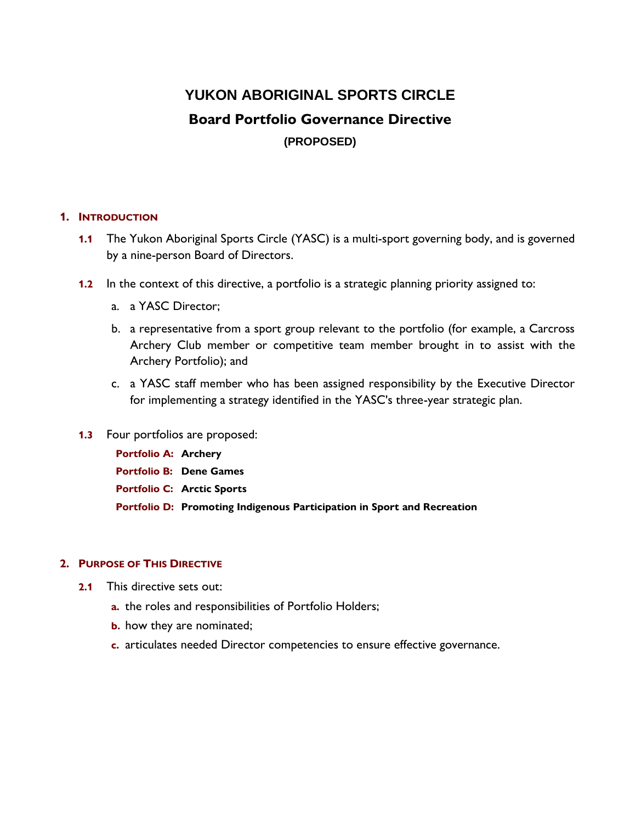# **YUKON ABORIGINAL SPORTS CIRCLE Board Portfolio Governance Directive (PROPOSED)**

# **1. INTRODUCTION**

- **1.1** The Yukon Aboriginal Sports Circle (YASC) is a multi-sport governing body, and is governed by a nine-person Board of Directors.
- **1.2** In the context of this directive, a portfolio is a strategic planning priority assigned to:
	- a. a YASC Director;
	- b. a representative from a sport group relevant to the portfolio (for example, a Carcross Archery Club member or competitive team member brought in to assist with the Archery Portfolio); and
	- c. a YASC staff member who has been assigned responsibility by the Executive Director for implementing a strategy identified in the YASC's three-year strategic plan.
- **1.3** Four portfolios are proposed:

**Portfolio A: Archery Portfolio B: Dene Games Portfolio C: Arctic Sports Portfolio D: Promoting Indigenous Participation in Sport and Recreation**

#### **2. PURPOSE OF THIS DIRECTIVE**

- **2.1** This directive sets out:
	- **a.** the roles and responsibilities of Portfolio Holders;
	- **b.** how they are nominated;
	- **c.** articulates needed Director competencies to ensure effective governance.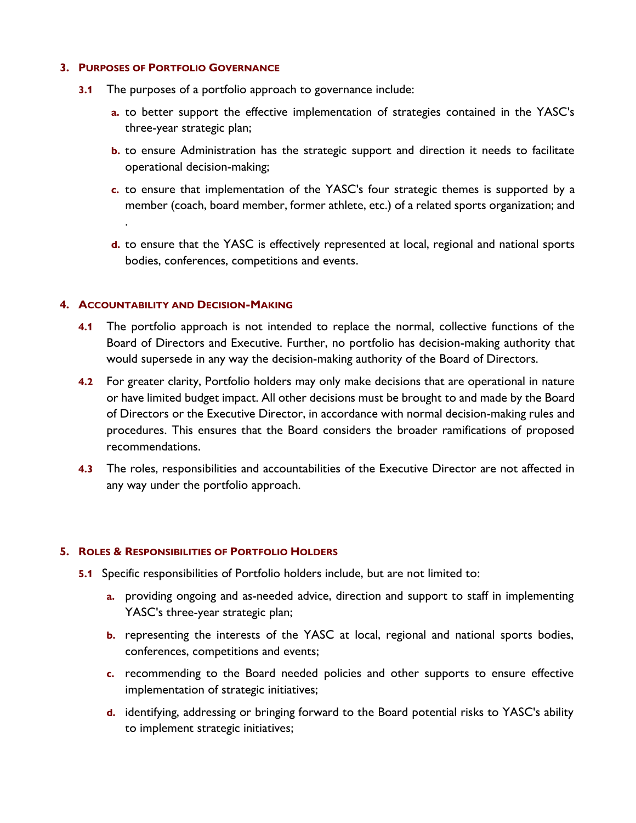#### **3. PURPOSES OF PORTFOLIO GOVERNANCE**

- **3.1** The purposes of a portfolio approach to governance include:
	- **a.** to better support the effective implementation of strategies contained in the YASC's three-year strategic plan;
	- **b.** to ensure Administration has the strategic support and direction it needs to facilitate operational decision-making;
	- **c.** to ensure that implementation of the YASC's four strategic themes is supported by a member (coach, board member, former athlete, etc.) of a related sports organization; and
	- **d.** to ensure that the YASC is effectively represented at local, regional and national sports bodies, conferences, competitions and events.

## **4. ACCOUNTABILITY AND DECISION-MAKING**

.

- **4.1** The portfolio approach is not intended to replace the normal, collective functions of the Board of Directors and Executive. Further, no portfolio has decision-making authority that would supersede in any way the decision-making authority of the Board of Directors.
- **4.2** For greater clarity, Portfolio holders may only make decisions that are operational in nature or have limited budget impact. All other decisions must be brought to and made by the Board of Directors or the Executive Director, in accordance with normal decision-making rules and procedures. This ensures that the Board considers the broader ramifications of proposed recommendations.
- **4.3** The roles, responsibilities and accountabilities of the Executive Director are not affected in any way under the portfolio approach.

#### **5. ROLES & RESPONSIBILITIES OF PORTFOLIO HOLDERS**

- **5.1** Specific responsibilities of Portfolio holders include, but are not limited to:
	- **a.** providing ongoing and as-needed advice, direction and support to staff in implementing YASC's three-year strategic plan;
	- **b.** representing the interests of the YASC at local, regional and national sports bodies, conferences, competitions and events;
	- **c.** recommending to the Board needed policies and other supports to ensure effective implementation of strategic initiatives;
	- **d.** identifying, addressing or bringing forward to the Board potential risks to YASC's ability to implement strategic initiatives;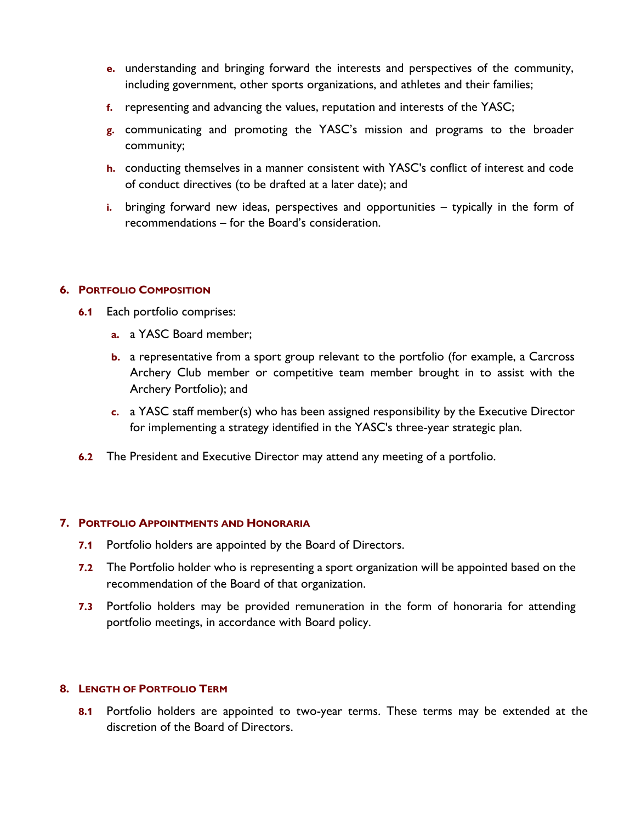- **e.** understanding and bringing forward the interests and perspectives of the community, including government, other sports organizations, and athletes and their families;
- **f.** representing and advancing the values, reputation and interests of the YASC;
- **g.** communicating and promoting the YASC's mission and programs to the broader community;
- **h.** conducting themselves in a manner consistent with YASC's conflict of interest and code of conduct directives (to be drafted at a later date); and
- **i.** bringing forward new ideas, perspectives and opportunities typically in the form of recommendations – for the Board's consideration.

## **6. PORTFOLIO COMPOSITION**

- **6.1** Each portfolio comprises:
	- **a.** a YASC Board member;
	- **b.** a representative from a sport group relevant to the portfolio (for example, a Carcross Archery Club member or competitive team member brought in to assist with the Archery Portfolio); and
	- **c.** a YASC staff member(s) who has been assigned responsibility by the Executive Director for implementing a strategy identified in the YASC's three-year strategic plan.
- **6.2** The President and Executive Director may attend any meeting of a portfolio.

# **7. PORTFOLIO APPOINTMENTS AND HONORARIA**

- **7.1** Portfolio holders are appointed by the Board of Directors.
- **7.2** The Portfolio holder who is representing a sport organization will be appointed based on the recommendation of the Board of that organization.
- **7.3** Portfolio holders may be provided remuneration in the form of honoraria for attending portfolio meetings, in accordance with Board policy.

# **8. LENGTH OF PORTFOLIO TERM**

**8.1** Portfolio holders are appointed to two-year terms. These terms may be extended at the discretion of the Board of Directors.